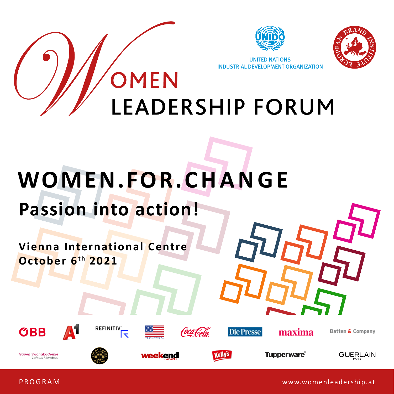



**UNITED NATIONS** INDUSTRIAL DEVELOPMENT ORGANIZATION

### OMEN **LEADERSHIP FORUM**

# **Passion into action! WOMEN.FOR.CHANGE**

**Vienna International Centre October 6th 2021**











**Die Presse** 

maxima

Batten & Company

Frauen: Fachakademie **Schloss Mondsee** 



weekend



**Tupperware** 



PROGRAM

www.womenleadership.at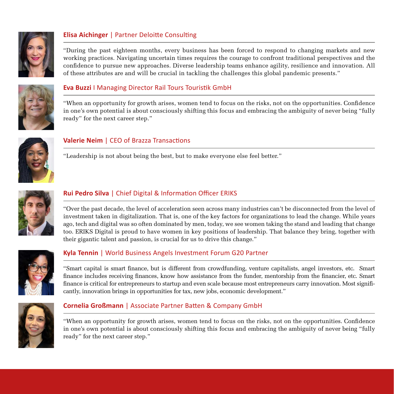

#### **Elisa Aichinger** | Partner Deloitte Consulting

"During the past eighteen months, every business has been forced to respond to changing markets and new working practices. Navigating uncertain times requires the courage to confront traditional perspectives and the confidence to pursue new approaches. Diverse leadership teams enhance agility, resilience and innovation. All of these attributes are and will be crucial in tackling the challenges this global pandemic presents."



#### **Eva Buzzi** I Managing Director Rail Tours Touristik GmbH

"When an opportunity for growth arises, women tend to focus on the risks, not on the opportunities. Confidence in one's own potential is about consciously shifting this focus and embracing the ambiguity of never being "fully ready" for the next career step."



#### **Valerie Neim** | CEO of Brazza Transactions

"Leadership is not about being the best, but to make everyone else feel better."



#### **Rui Pedro Silva** | Chief Digital & Information Officer ERIKS

"Over the past decade, the level of acceleration seen across many industries can't be disconnected from the level of investment taken in digitalization. That is, one of the key factors for organizations to lead the change. While years ago, tech and digital was so often dominated by men, today, we see women taking the stand and leading that change too. ERIKS Digital is proud to have women in key positions of leadership. That balance they bring, together with their gigantic talent and passion, is crucial for us to drive this change."



#### **Kyla Tennin** | World Business Angels Investment Forum G20 Partner

"Smart capital is smart finance, but is different from crowdfunding, venture capitalists, angel investors, etc. Smart finance includes receiving finances, know how assistance from the funder, mentorship from the financier, etc. Smart finance is critical for entrepreneurs to startup and even scale because most entrepreneurs carry innovation. Most significantly, innovation brings in opportunities for tax, new jobs, economic development."



#### **Cornelia Großmann** | Associate Partner Batten & Company GmbH

"When an opportunity for growth arises, women tend to focus on the risks, not on the opportunities. Confidence in one's own potential is about consciously shifting this focus and embracing the ambiguity of never being "fully ready" for the next career step."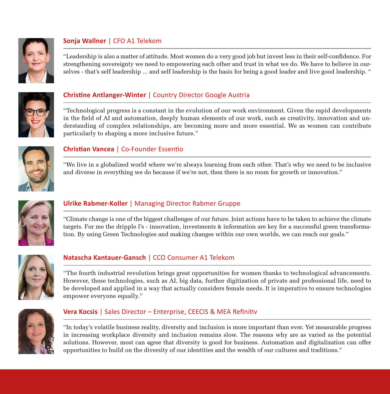

#### **Sonja Wallner** | CFO A1 Telekom

"Leadership is also a matter of attitude. Most women do a very good job but invest less in their self-confidence. For strengthening sovereignty we need to empowering each other and trust in what we do. We have to believe in ourselves - that's self leadership ... and self leadership is the basis for being a good leader and live good leadership. "



#### **Christine Antlanger-Winter** | Country Director Google Austria

"Technological progress is a constant in the evolution of our work environment. Given the rapid developments in the field of AI and automation, deeply human elements of our work, such as creativity, innovation and understanding of complex relationships, are becoming more and more essential. We as women can contribute particularly to shaping a more inclusive future."



#### **Christian Vancea** | Co-Founder Essentio

"We live in a globalized world where we're always learning from each other. That's why we need to be inclusive and diverse in everything we do because if we're not, then there is no room for growth or innovation."



#### **Ulrike Rabmer-Koller** | Managing Director Rabmer Gruppe

"Climate change is one of the biggest challenges of our future. Joint actions have to be taken to achieve the climate targets. For me the dripple I's - innovation, investments & information are key for a successful green transformation. By using Green Technologies and making changes within our own worlds, we can reach our goals."



#### **Natascha Kantauer-Gansch** | CCO Consumer A1 Telekom

"The fourth industrial revolution brings great opportunities for women thanks to technological advancements. However, these technologies, such as AI, big data, further digitization of private and professional life, need to be developed and applied in a way that actually considers female needs. It is imperative to ensure technologies empower everyone equally."



#### **Vera Kocsis** | Sales Director – Enterprise, CEECIS & MEA Refinitiv

"In today's volatile business reality, diversity and inclusion is more important than ever. Yet measurable progress in increasing workplace diversity and inclusion remains slow. The reasons why are as varied as the potential solutions. However, most can agree that diversity is good for business. Automation and digitalization can offer opportunities to build on the diversity of our identities and the wealth of our cultures and traditions."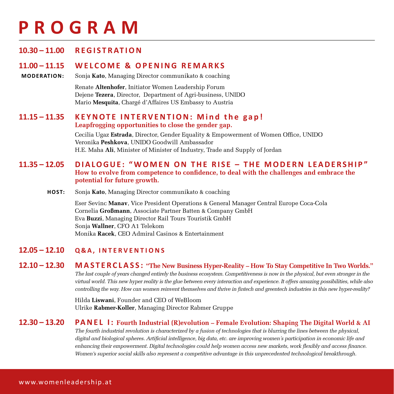### **PROGRAM**

#### **10.30 – 11.00 R E G I S T R AT I O N**

#### **11.00 – 11.15 WELCOME & OPENING REMARKS**

**MODERATION:** Sonja **Kato**, Managing Director communikato & coaching

Renate **Altenhofer**, Initiator Women Leadership Forum Dejene **Tezera**, Director, Department of Agri-business, UNIDO Mario **Mesquita**, Chargé d'Affaires US Embassy to Austria

#### **11.15 – 11.35 KEYNOTE INTERVENTION: Mind the gap! Leapfrogging opportunities to close the gender gap.**

Cecilia Ugaz **Estrada**, Director, Gender Equality & Empowerment of Women Office, UNIDO Veronika **Peshkova**, UNIDO Goodwill Ambassador H.E. Maha **Ali**, Minister of Minister of Industry, Trade and Supply of Jordan

#### **11.35 – 12.05 DIALOGUE: "WOMEN ON THE RISE – THE MODERN LEADERSHIP" How to evolve from competence to confidence, to deal with the challenges and embrace the potential for future growth.**

**HOST:** Sonja **Kato**, Managing Director communikato & coaching

Eser Sevinc **Manav**, Vice President Operations & General Manager Central Europe Coca-Cola Cornelia **Großmann**, Associate Partner Batten & Company GmbH Eva **Buzzi**, Managing Director Rail Tours Touristik GmbH Sonja **Wallner**, CFO A1 Telekom Monika **Racek**, CEO Admiral Casinos & Entertainment

#### **12.05 – 12.10 Q&A, INTERVENTIONS**

**12.10 – 12.30 M A S T E R C L A S S : "The New Business Hyper-Reality – How To Stay Competitive In Two Worlds."** *The last couple of years changed entirely the business ecosystem. Competitiveness is now in the physical, but even stronger in the virtual world. This new hyper reality is the glue between every interaction and experience. It offers amazing possibilities, while also controlling the way. How can women reinvent themselves and thrive in fintech and greentech industries in this new hyper-reality?*

> Hilda **Liswani**, Founder and CEO of WeBloom Ulrike **Rabmer-Koller**, Managing Director Rabmer Gruppe

### **12.30 – 13.20 PA N E L I : Fourth Industrial (R)evolution – Female Evolution: Shaping The Digital World & AI**

*The fourth industrial revolution is characterized by a fusion of technologies that is blurring the lines between the physical, digital and biological spheres. Artificial intelligence, big data, etc. are improving women´s participation in economic life and enhancing their empowerment. Digital technologies could help women access new markets, work flexibly and access finance. Women's superior social skills also represent a competitive advantage in this unprecedented technological breakthrough.*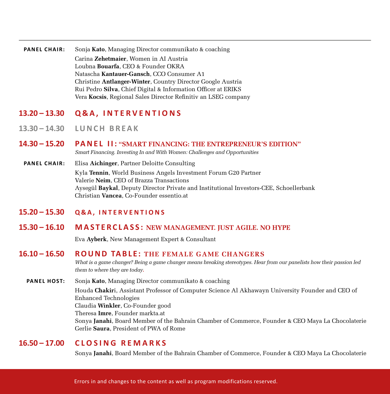**PANEL CHAIR:** Sonja **Kato**, Managing Director communikato & coaching Carina **Zehetmaier**, Women in AI Austria Loubna **Bouarfa**, CEO & Founder OKRA Natascha **Kantauer-Gansch**, CCO Consumer A1 Christine **Antlanger-Winter**, Country Director Google Austria Rui Pedro **Silva**, Chief Digital & Information Officer at ERIKS Vera **Kocsis**, Regional Sales Director Refinitiv an LSEG company

#### **13.20 – 13.30 Q & A , INTERVENTIONS**

- **13.30 14.30 L U N C H B R E A K**
- **14.30 15.20 PA N E L I I : "SMART FINANCING: THE ENTREPRENEUR'S EDITION"** *Smart Financing. Investing In and With Women: Challenges and Opportunities*
- **PANEL CHAIR:** Elisa **Aichinger**, Partner Deloitte Consulting Kyla **Tennin**, World Business Angels Investment Forum G20 Partner Valerie **Neim**, CEO of Brazza Transactions Aysegül **Baykal**, Deputy Director Private and Institutional Investors-CEE, Schoellerbank Christian **Vancea**, Co-Founder essentio.at
- **15.20 15.30 Q&A, INTERVENTIONS**
- **15.30 16.10 M A S T E R C L A S S : NEW MANAGEMENT. JUST AGILE. NO HYPE**

Eva **Ayberk**, New Management Expert & Consultant

#### **16.10 – 16.50 ROUND TABLE: THE FEMALE GAME CHANGERS**

*What is a game changer? Being a game changer means breaking stereotypes. Hear from our panelists how their passion led them to where they are today***.**

**PANEL HOST:** Sonja **Kato**, Managing Director communikato & coaching Houda **Chakir**i, Assistant Professor of Computer Science Al Akhawayn University Founder and CEO of Enhanced Technologies Claudia **Winkler**, Co-Founder good Theresa **Imre**, Founder markta.at Sonya **Janahi**, Board Member of the Bahrain Chamber of Commerce, Founder & CEO Maya La Chocolaterie Gerlie **Saura**, President of PWA of Rome

#### **16.50 – 17.00 CLOSING REMARKS**

Sonya **Janahi**, Board Member of the Bahrain Chamber of Commerce, Founder & CEO Maya La Chocolaterie